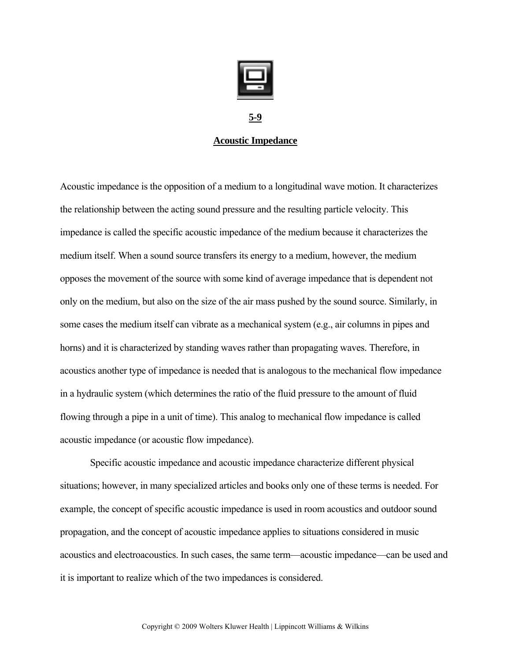

**5-9**

## **Acoustic Impedance**

Acoustic impedance is the opposition of a medium to a longitudinal wave motion. It characterizes the relationship between the acting sound pressure and the resulting particle velocity. This impedance is called the specific acoustic impedance of the medium because it characterizes the medium itself. When a sound source transfers its energy to a medium, however, the medium opposes the movement of the source with some kind of average impedance that is dependent not only on the medium, but also on the size of the air mass pushed by the sound source. Similarly, in some cases the medium itself can vibrate as a mechanical system (e.g., air columns in pipes and horns) and it is characterized by standing waves rather than propagating waves. Therefore, in acoustics another type of impedance is needed that is analogous to the mechanical flow impedance in a hydraulic system (which determines the ratio of the fluid pressure to the amount of fluid flowing through a pipe in a unit of time). This analog to mechanical flow impedance is called acoustic impedance (or acoustic flow impedance).

Specific acoustic impedance and acoustic impedance characterize different physical situations; however, in many specialized articles and books only one of these terms is needed. For example, the concept of specific acoustic impedance is used in room acoustics and outdoor sound propagation, and the concept of acoustic impedance applies to situations considered in music acoustics and electroacoustics. In such cases, the same term—acoustic impedance—can be used and it is important to realize which of the two impedances is considered.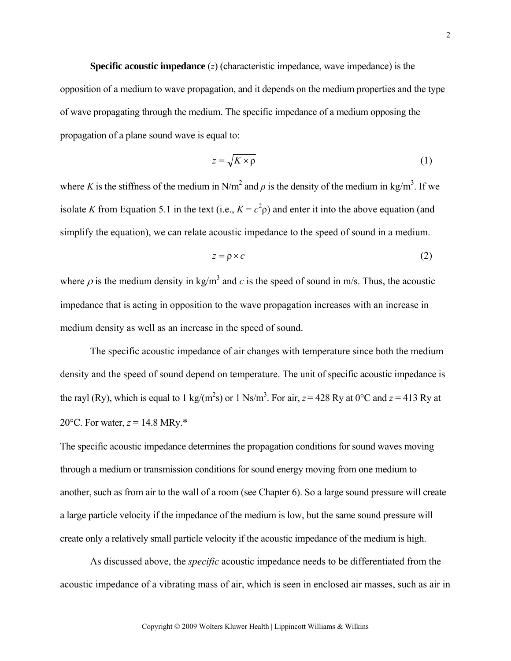**Specific acoustic impedance** (*z*) (characteristic impedance, wave impedance) is the opposition of a medium to wave propagation, and it depends on the medium properties and the type of wave propagating through the medium. The specific impedance of a medium opposing the propagation of a plane sound wave is equal to:

$$
z = \sqrt{K \times \rho} \tag{1}
$$

where *K* is the stiffness of the medium in N/m<sup>2</sup> and  $\rho$  is the density of the medium in kg/m<sup>3</sup>. If we isolate *K* from Equation 5.1 in the text (i.e.,  $K = c^2 \rho$ ) and enter it into the above equation (and simplify the equation), we can relate acoustic impedance to the speed of sound in a medium.

$$
z = \rho \times c \tag{2}
$$

where  $\rho$  is the medium density in kg/m<sup>3</sup> and *c* is the speed of sound in m/s. Thus, the acoustic impedance that is acting in opposition to the wave propagation increases with an increase in medium density as well as an increase in the speed of sound.

 The specific acoustic impedance of air changes with temperature since both the medium density and the speed of sound depend on temperature. The unit of specific acoustic impedance is the rayl (Ry), which is equal to 1 kg/(m<sup>2</sup>s) or 1 Ns/m<sup>3</sup>. For air,  $z = 428$  Ry at 0°C and  $z = 413$  Ry at 20 $^{\circ}$ C. For water, *z* = 14.8 MRy.\*

The specific acoustic impedance determines the propagation conditions for sound waves moving through a medium or transmission conditions for sound energy moving from one medium to another, such as from air to the wall of a room (see Chapter 6). So a large sound pressure will create a large particle velocity if the impedance of the medium is low, but the same sound pressure will create only a relatively small particle velocity if the acoustic impedance of the medium is high.

As discussed above, the *specific* acoustic impedance needs to be differentiated from the acoustic impedance of a vibrating mass of air, which is seen in enclosed air masses, such as air in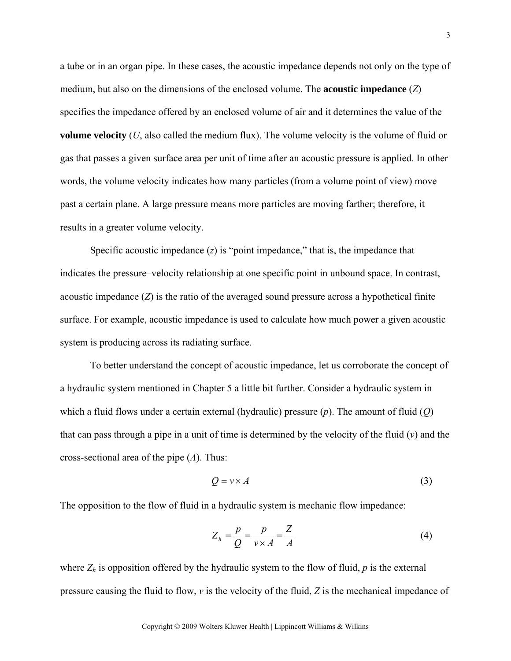a tube or in an organ pipe. In these cases, the acoustic impedance depends not only on the type of medium, but also on the dimensions of the enclosed volume. The **acoustic impedance** (*Z*) specifies the impedance offered by an enclosed volume of air and it determines the value of the **volume velocity** (*U*, also called the medium flux). The volume velocity is the volume of fluid or gas that passes a given surface area per unit of time after an acoustic pressure is applied. In other words, the volume velocity indicates how many particles (from a volume point of view) move past a certain plane. A large pressure means more particles are moving farther; therefore, it results in a greater volume velocity.

Specific acoustic impedance (*z*) is "point impedance," that is, the impedance that indicates the pressure–velocity relationship at one specific point in unbound space. In contrast, acoustic impedance (*Z*) is the ratio of the averaged sound pressure across a hypothetical finite surface. For example, acoustic impedance is used to calculate how much power a given acoustic system is producing across its radiating surface.

To better understand the concept of acoustic impedance, let us corroborate the concept of a hydraulic system mentioned in Chapter 5 a little bit further. Consider a hydraulic system in which a fluid flows under a certain external (hydraulic) pressure (*p*). The amount of fluid (*Q*) that can pass through a pipe in a unit of time is determined by the velocity of the fluid (*v*) and the cross-sectional area of the pipe (*A*). Thus:

$$
Q = v \times A \tag{3}
$$

The opposition to the flow of fluid in a hydraulic system is mechanic flow impedance:

$$
Z_h = \frac{p}{Q} = \frac{p}{\nu \times A} = \frac{Z}{A}
$$
 (4)

where  $Z_h$  is opposition offered by the hydraulic system to the flow of fluid,  $p$  is the external pressure causing the fluid to flow, *v* is the velocity of the fluid, *Z* is the mechanical impedance of